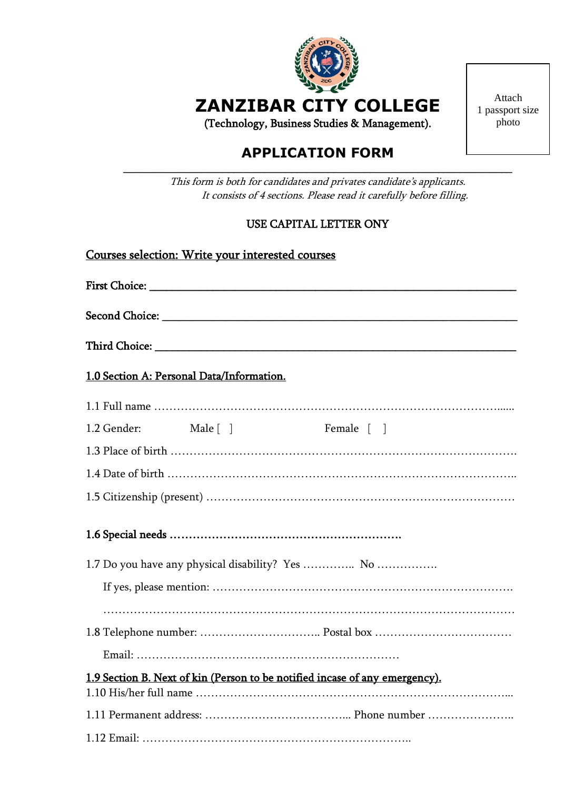

**ZANZIBAR CITY COLLEGE**

(Technology, Business Studies & Management).

## **APPLICATION FORM** \_\_\_\_\_\_\_\_\_\_\_\_\_\_\_\_\_\_\_\_\_\_\_\_\_\_\_\_\_\_\_\_\_\_\_\_\_\_\_\_\_\_\_\_\_\_\_\_\_\_\_\_\_\_\_\_\_\_\_\_\_\_\_\_\_\_\_\_\_\_\_\_\_\_

This form is both for candidates and privates candidate's applicants. It consists of 4 sections. Please read it carefully before filling.

# USE CAPITAL LETTER ONY

| Courses selection: Write your interested courses                            |  |                              |  |
|-----------------------------------------------------------------------------|--|------------------------------|--|
|                                                                             |  |                              |  |
|                                                                             |  |                              |  |
|                                                                             |  |                              |  |
| 1.0 Section A: Personal Data/Information.                                   |  |                              |  |
|                                                                             |  |                              |  |
| 1.2 Gender:<br>Male $\lceil \;\; \rceil$                                    |  | Female $\lceil \; \; \rceil$ |  |
|                                                                             |  |                              |  |
|                                                                             |  |                              |  |
|                                                                             |  |                              |  |
|                                                                             |  |                              |  |
| 1.7 Do you have any physical disability? Yes  No                            |  |                              |  |
|                                                                             |  |                              |  |
|                                                                             |  |                              |  |
| 1.9 Section B. Next of kin (Person to be notified incase of any emergency). |  |                              |  |
|                                                                             |  |                              |  |
|                                                                             |  |                              |  |

Attach 1 passport size photo